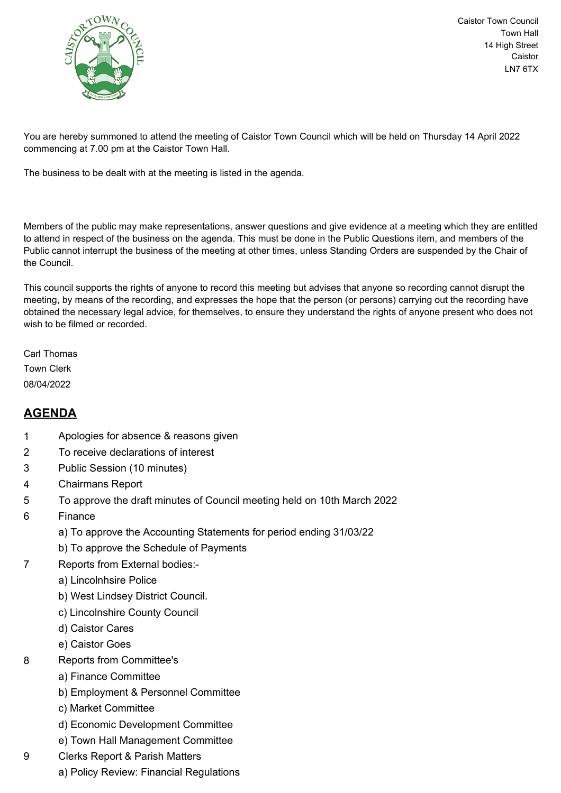

Caistor Town Council Town Hall 14 High Street Caistor LN7 6TX

You are hereby summoned to attend the meeting of Caistor Town Council which will be held on Thursday 14 April 2022 commencing at 7.00 pm at the Caistor Town Hall.

The business to be dealt with at the meeting is listed in the agenda.

Members of the public may make representations, answer questions and give evidence at a meeting which they are entitled to attend in respect of the business on the agenda. This must be done in the Public Questions item, and members of the Public cannot interrupt the business of the meeting at other times, unless Standing Orders are suspended by the Chair of the Council.

This council supports the rights of anyone to record this meeting but advises that anyone so recording cannot disrupt the meeting, by means of the recording, and expresses the hope that the person (or persons) carrying out the recording have obtained the necessary legal advice, for themselves, to ensure they understand the rights of anyone present who does not wish to be filmed or recorded.

Carl Thomas Town Clerk 08/04/2022

## **AGENDA**

- 1 Apologies for absence & reasons given
- 2 To receive declarations of interest
- 3 Public Session (10 minutes)
- 4 Chairmans Report
- 5 To approve the draft minutes of Council meeting held on 10th March 2022
- 6 Finance
	- a) To approve the Accounting Statements for period ending 31/03/22
	- b) To approve the Schedule of Payments
- 7 Reports from External bodies:
	- a) Lincolnhsire Police
	- b) West Lindsey District Council.
	- c) Lincolnshire County Council
	- d) Caistor Cares
	- e) Caistor Goes
- 8 Reports from Committee's
	- a) Finance Committee
	- b) Employment & Personnel Committee
	- c) Market Committee
	- d) Economic Development Committee
	- e) Town Hall Management Committee
- 9 Clerks Report & Parish Matters
	- a) Policy Review: Financial Regulations